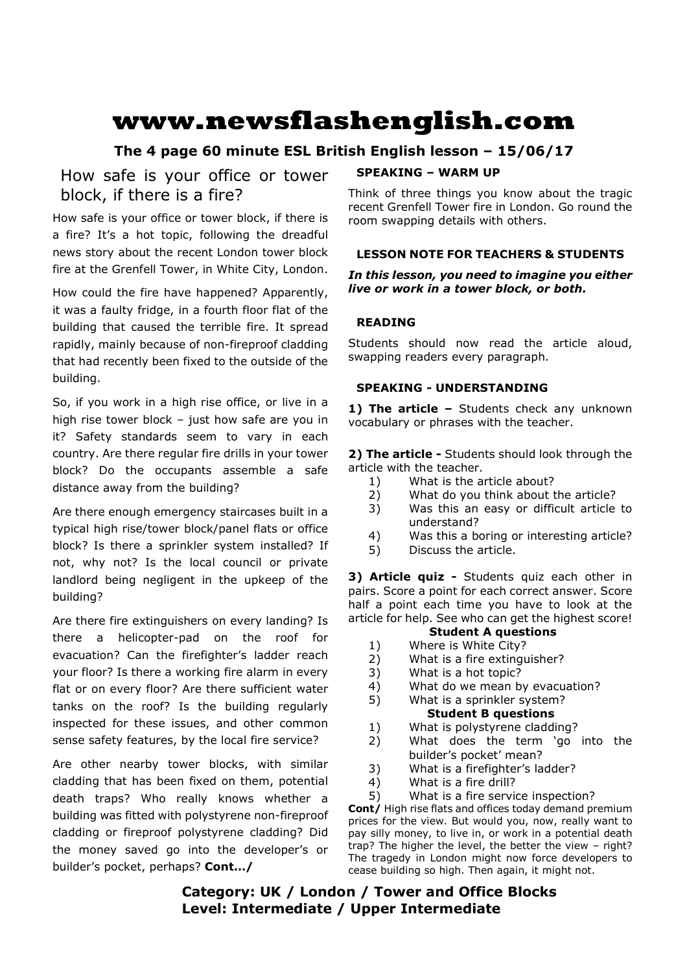# **www.newsflashenglish.com**

# **The 4 page 60 minute ESL British English lesson – 15/06/17**

# How safe is your office or tower block, if there is a fire?

How safe is your office or tower block, if there is a fire? It's a hot topic, following the dreadful news story about the recent London tower block fire at the Grenfell Tower, in White City, London.

How could the fire have happened? Apparently, it was a faulty fridge, in a fourth floor flat of the building that caused the terrible fire. It spread rapidly, mainly because of non-fireproof cladding that had recently been fixed to the outside of the building.

So, if you work in a high rise office, or live in a high rise tower block  $-$  just how safe are you in it? Safety standards seem to vary in each country. Are there regular fire drills in your tower block? Do the occupants assemble a safe distance away from the building?

Are there enough emergency staircases built in a typical high rise/tower block/panel flats or office block? Is there a sprinkler system installed? If not, why not? Is the local council or private landlord being negligent in the upkeep of the building?

Are there fire extinguishers on every landing? Is there a helicopter-pad on the roof for evacuation? Can the firefighter's ladder reach your floor? Is there a working fire alarm in every flat or on every floor? Are there sufficient water tanks on the roof? Is the building regularly inspected for these issues, and other common sense safety features, by the local fire service?

Are other nearby tower blocks, with similar cladding that has been fixed on them, potential death traps? Who really knows whether a building was fitted with polystyrene non-fireproof cladding or fireproof polystyrene cladding? Did the money saved go into the developer's or builder's pocket, perhaps? **Cont…/**

#### **SPEAKING – WARM UP**

Think of three things you know about the tragic recent Grenfell Tower fire in London. Go round the room swapping details with others.

### **LESSON NOTE FOR TEACHERS & STUDENTS**

#### *In this lesson, you need to imagine you either live or work in a tower block, or both.*

#### **READING**

Students should now read the article aloud, swapping readers every paragraph.

#### **SPEAKING - UNDERSTANDING**

1) The article - Students check any unknown vocabulary or phrases with the teacher.

**2) The article -** Students should look through the article with the teacher.

- 1) What is the article about?
- 2) What do you think about the article?
- 3) Was this an easy or difficult article to understand?
- 4) Was this a boring or interesting article?
- 5) Discuss the article.

**3) Article quiz -** Students quiz each other in pairs. Score a point for each correct answer. Score half a point each time you have to look at the article for help. See who can get the highest score!

#### **Student A questions**

- 1) Where is White City?
- 2) What is a fire extinguisher?
- 3) What is a hot topic?
- 4) What do we mean by evacuation?
- 5) What is a sprinkler system? **Student B questions**
- 1) What is polystyrene cladding?
- 2) What does the term 'go into the builder's pocket' mean?
- 3) What is a firefighter's ladder?
- 4) What is a fire drill?
- 5) What is a fire service inspection?

**Cont/** High rise flats and offices today demand premium prices for the view. But would you, now, really want to pay silly money, to live in, or work in a potential death trap? The higher the level, the better the view – right? The tragedy in London might now force developers to cease building so high. Then again, it might not.

# **Category: UK / London / Tower and Office Blocks Level: Intermediate / Upper Intermediate**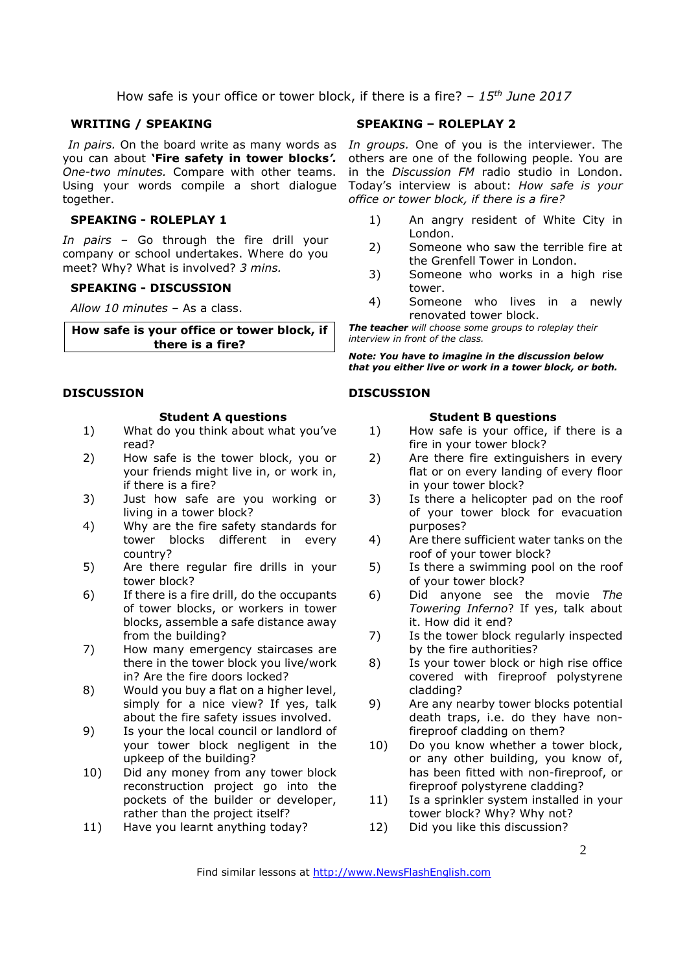How safe is your office or tower block, if there is a fire? *– 15th June 2017*

#### **WRITING / SPEAKING**

you can about **'Fire safety in tower blocks***'. One-two minutes.* Compare with other teams. Using your words compile a short dialogue together.

#### **SPEAKING - ROLEPLAY 1**

*In pairs –* Go through the fire drill your company or school undertakes. Where do you meet? Why? What is involved? *3 mins.* 

#### **SPEAKING - DISCUSSION**

*Allow 10 minutes* – As a class.

**How safe is your office or tower block, if there is a fire?** 

#### **DISCUSSION**

#### **Student A questions**

- 1) What do you think about what you've read?
- 2) How safe is the tower block, you or your friends might live in, or work in, if there is a fire?
- 3) Just how safe are you working or living in a tower block?
- 4) Why are the fire safety standards for tower blocks different in every country?
- 5) Are there regular fire drills in your tower block?
- 6) If there is a fire drill, do the occupants of tower blocks, or workers in tower blocks, assemble a safe distance away from the building?
- 7) How many emergency staircases are there in the tower block you live/work in? Are the fire doors locked?
- 8) Would you buy a flat on a higher level, simply for a nice view? If yes, talk about the fire safety issues involved.
- 9) Is your the local council or landlord of your tower block negligent in the upkeep of the building?
- 10) Did any money from any tower block reconstruction project go into the pockets of the builder or developer, rather than the project itself?
- 11) Have you learnt anything today?

#### **SPEAKING – ROLEPLAY 2**

In pairs. On the board write as many words as In groups. One of you is the interviewer. The others are one of the following people. You are in the *Discussion FM* radio studio in London. Today's interview is about: *How safe is your office or tower block, if there is a fire?*

- 1) An angry resident of White City in London.
- 2) Someone who saw the terrible fire at the Grenfell Tower in London.
- 3) Someone who works in a high rise tower.
- 4) Someone who lives in a newly renovated tower block.

*The teacher will choose some groups to roleplay their interview in front of the class.* 

*Note: You have to imagine in the discussion below that you either live or work in a tower block, or both.* 

#### **DISCUSSION**

#### **Student B questions**

- 1) How safe is your office, if there is a fire in your tower block?
- 2) Are there fire extinguishers in every flat or on every landing of every floor in your tower block?
- 3) Is there a helicopter pad on the roof of your tower block for evacuation purposes?
- 4) Are there sufficient water tanks on the roof of your tower block?
- 5) Is there a swimming pool on the roof of your tower block?
- 6) Did anyone see the movie *The Towering Inferno*? If yes, talk about it. How did it end?
- 7) Is the tower block regularly inspected by the fire authorities?
- 8) Is your tower block or high rise office covered with fireproof polystyrene cladding?
- 9) Are any nearby tower blocks potential death traps, i.e. do they have nonfireproof cladding on them?
- 10) Do you know whether a tower block, or any other building, you know of, has been fitted with non-fireproof, or fireproof polystyrene cladding?
- 11) Is a sprinkler system installed in your tower block? Why? Why not?
- 12) Did you like this discussion?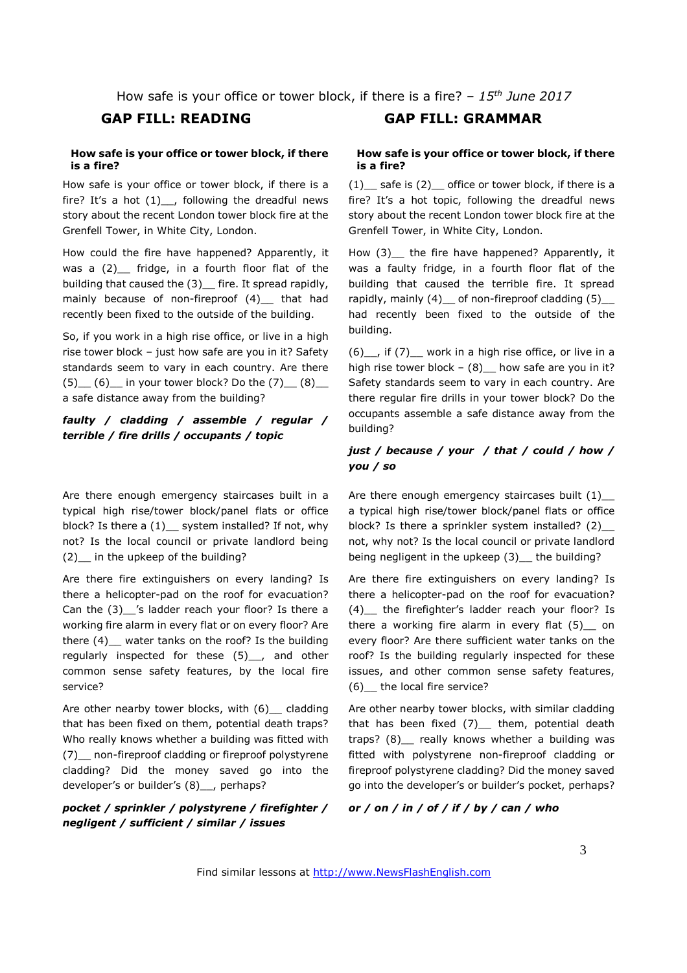How safe is your office or tower block, if there is a fire? *– 15th June 2017*

#### **How safe is your office or tower block, if there is a fire?**

How safe is your office or tower block, if there is a fire? It's a hot  $(1)$ . following the dreadful news story about the recent London tower block fire at the Grenfell Tower, in White City, London.

How could the fire have happened? Apparently, it was a (2) fridge, in a fourth floor flat of the building that caused the (3)\_ fire. It spread rapidly, mainly because of non-fireproof (4) that had recently been fixed to the outside of the building.

So, if you work in a high rise office, or live in a high rise tower block – just how safe are you in it? Safety standards seem to vary in each country. Are there  $(5)$  (6) in your tower block? Do the  $(7)$  (8) a safe distance away from the building?

#### *faulty / cladding / assemble / regular / terrible / fire drills / occupants / topic*

Are there enough emergency staircases built in a typical high rise/tower block/panel flats or office block? Is there a (1) \_ system installed? If not, why not? Is the local council or private landlord being (2)\_\_ in the upkeep of the building?

Are there fire extinguishers on every landing? Is there a helicopter-pad on the roof for evacuation? Can the (3)\_\_'s ladder reach your floor? Is there a working fire alarm in every flat or on every floor? Are there (4) water tanks on the roof? Is the building regularly inspected for these (5)\_\_, and other common sense safety features, by the local fire service?

Are other nearby tower blocks, with (6) cladding that has been fixed on them, potential death traps? Who really knows whether a building was fitted with (7)\_\_ non-fireproof cladding or fireproof polystyrene cladding? Did the money saved go into the developer's or builder's (8)<sub>,</sub> perhaps?

*pocket / sprinkler / polystyrene / firefighter / negligent / sufficient / similar / issues* 

## **GAP FILL: READING GAP FILL: GRAMMAR**

#### **How safe is your office or tower block, if there is a fire?**

 $(1)$  safe is  $(2)$  office or tower block, if there is a fire? It's a hot topic, following the dreadful news story about the recent London tower block fire at the Grenfell Tower, in White City, London.

How (3) the fire have happened? Apparently, it was a faulty fridge, in a fourth floor flat of the building that caused the terrible fire. It spread rapidly, mainly (4) of non-fireproof cladding (5) had recently been fixed to the outside of the building.

(6)\_\_, if (7)\_\_ work in a high rise office, or live in a high rise tower block –  $(8)$  how safe are you in it? Safety standards seem to vary in each country. Are there regular fire drills in your tower block? Do the occupants assemble a safe distance away from the building?

### *just / because / your / that / could / how / you / so*

Are there enough emergency staircases built (1)\_ a typical high rise/tower block/panel flats or office block? Is there a sprinkler system installed? (2)\_\_ not, why not? Is the local council or private landlord being negligent in the upkeep (3)\_ the building?

Are there fire extinguishers on every landing? Is there a helicopter-pad on the roof for evacuation? (4)\_\_ the firefighter's ladder reach your floor? Is there a working fire alarm in every flat  $(5)$  on every floor? Are there sufficient water tanks on the roof? Is the building regularly inspected for these issues, and other common sense safety features, (6)\_\_ the local fire service?

Are other nearby tower blocks, with similar cladding that has been fixed  $(7)$  them, potential death traps? (8) really knows whether a building was fitted with polystyrene non-fireproof cladding or fireproof polystyrene cladding? Did the money saved go into the developer's or builder's pocket, perhaps?

*or / on / in / of / if / by / can / who*